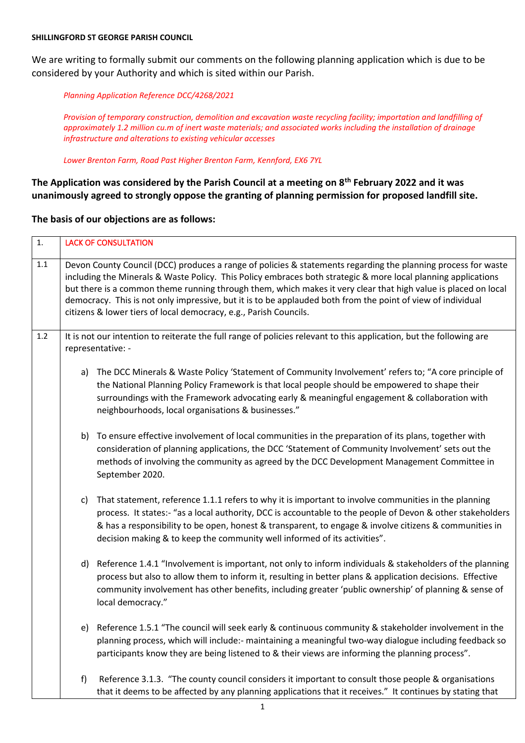#### **SHILLINGFORD ST GEORGE PARISH COUNCIL**

We are writing to formally submit our comments on the following planning application which is due to be considered by your Authority and which is sited within our Parish.

*Planning Application Reference DCC/4268/2021*

*Provision of temporary construction, demolition and excavation waste recycling facility; importation and landfilling of approximately 1.2 million cu.m of inert waste materials; and associated works including the installation of drainage infrastructure and alterations to existing vehicular accesses*

*Lower Brenton Farm, Road Past Higher Brenton Farm, Kennford, EX6 7YL*

**The Application was considered by the Parish Council at a meeting on 8th February 2022 and it was unanimously agreed to strongly oppose the granting of planning permission for proposed landfill site.**

**The basis of our objections are as follows:**

| 1.      |                                                                                                                                          | <b>LACK OF CONSULTATION</b>                                                                                                                                                                                                                                                                                                                                                                                                                                                                                                          |  |
|---------|------------------------------------------------------------------------------------------------------------------------------------------|--------------------------------------------------------------------------------------------------------------------------------------------------------------------------------------------------------------------------------------------------------------------------------------------------------------------------------------------------------------------------------------------------------------------------------------------------------------------------------------------------------------------------------------|--|
| 1.1     |                                                                                                                                          | Devon County Council (DCC) produces a range of policies & statements regarding the planning process for waste<br>including the Minerals & Waste Policy. This Policy embraces both strategic & more local planning applications<br>but there is a common theme running through them, which makes it very clear that high value is placed on local<br>democracy. This is not only impressive, but it is to be applauded both from the point of view of individual<br>citizens & lower tiers of local democracy, e.g., Parish Councils. |  |
| $1.2\,$ | It is not our intention to reiterate the full range of policies relevant to this application, but the following are<br>representative: - |                                                                                                                                                                                                                                                                                                                                                                                                                                                                                                                                      |  |
|         |                                                                                                                                          | a) The DCC Minerals & Waste Policy 'Statement of Community Involvement' refers to; "A core principle of<br>the National Planning Policy Framework is that local people should be empowered to shape their<br>surroundings with the Framework advocating early & meaningful engagement & collaboration with<br>neighbourhoods, local organisations & businesses."                                                                                                                                                                     |  |
|         | b)                                                                                                                                       | To ensure effective involvement of local communities in the preparation of its plans, together with<br>consideration of planning applications, the DCC 'Statement of Community Involvement' sets out the<br>methods of involving the community as agreed by the DCC Development Management Committee in<br>September 2020.                                                                                                                                                                                                           |  |
|         | $\mathsf{c}$                                                                                                                             | That statement, reference 1.1.1 refers to why it is important to involve communities in the planning<br>process. It states:- "as a local authority, DCC is accountable to the people of Devon & other stakeholders<br>& has a responsibility to be open, honest & transparent, to engage & involve citizens & communities in<br>decision making & to keep the community well informed of its activities".                                                                                                                            |  |
|         | d)                                                                                                                                       | Reference 1.4.1 "Involvement is important, not only to inform individuals & stakeholders of the planning<br>process but also to allow them to inform it, resulting in better plans & application decisions. Effective<br>community involvement has other benefits, including greater 'public ownership' of planning & sense of<br>local democracy."                                                                                                                                                                                  |  |
|         | e)                                                                                                                                       | Reference 1.5.1 "The council will seek early & continuous community & stakeholder involvement in the<br>planning process, which will include:- maintaining a meaningful two-way dialogue including feedback so<br>participants know they are being listened to & their views are informing the planning process".                                                                                                                                                                                                                    |  |
|         | f)                                                                                                                                       | Reference 3.1.3. "The county council considers it important to consult those people & organisations<br>that it deems to be affected by any planning applications that it receives." It continues by stating that                                                                                                                                                                                                                                                                                                                     |  |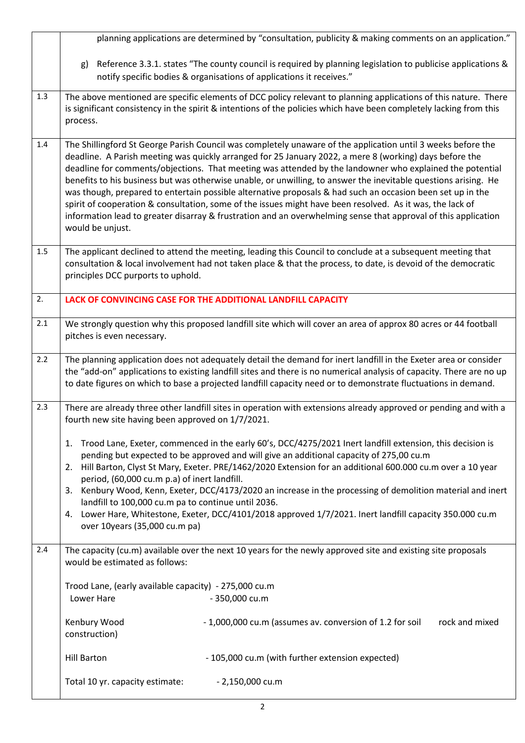|         | planning applications are determined by "consultation, publicity & making comments on an application."                                                                                                                                                                                                                                                                                                                                                                                                                                                                                                                                                                                                                                                                                                                  |
|---------|-------------------------------------------------------------------------------------------------------------------------------------------------------------------------------------------------------------------------------------------------------------------------------------------------------------------------------------------------------------------------------------------------------------------------------------------------------------------------------------------------------------------------------------------------------------------------------------------------------------------------------------------------------------------------------------------------------------------------------------------------------------------------------------------------------------------------|
|         | Reference 3.3.1. states "The county council is required by planning legislation to publicise applications &<br>g)<br>notify specific bodies & organisations of applications it receives."                                                                                                                                                                                                                                                                                                                                                                                                                                                                                                                                                                                                                               |
| 1.3     | The above mentioned are specific elements of DCC policy relevant to planning applications of this nature. There<br>is significant consistency in the spirit & intentions of the policies which have been completely lacking from this<br>process.                                                                                                                                                                                                                                                                                                                                                                                                                                                                                                                                                                       |
| 1.4     | The Shillingford St George Parish Council was completely unaware of the application until 3 weeks before the<br>deadline. A Parish meeting was quickly arranged for 25 January 2022, a mere 8 (working) days before the<br>deadline for comments/objections. That meeting was attended by the landowner who explained the potential<br>benefits to his business but was otherwise unable, or unwilling, to answer the inevitable questions arising. He<br>was though, prepared to entertain possible alternative proposals & had such an occasion been set up in the<br>spirit of cooperation & consultation, some of the issues might have been resolved. As it was, the lack of<br>information lead to greater disarray & frustration and an overwhelming sense that approval of this application<br>would be unjust. |
| $1.5\,$ | The applicant declined to attend the meeting, leading this Council to conclude at a subsequent meeting that<br>consultation & local involvement had not taken place & that the process, to date, is devoid of the democratic<br>principles DCC purports to uphold.                                                                                                                                                                                                                                                                                                                                                                                                                                                                                                                                                      |
| 2.      | LACK OF CONVINCING CASE FOR THE ADDITIONAL LANDFILL CAPACITY                                                                                                                                                                                                                                                                                                                                                                                                                                                                                                                                                                                                                                                                                                                                                            |
| 2.1     | We strongly question why this proposed landfill site which will cover an area of approx 80 acres or 44 football<br>pitches is even necessary.                                                                                                                                                                                                                                                                                                                                                                                                                                                                                                                                                                                                                                                                           |
| 2.2     | The planning application does not adequately detail the demand for inert landfill in the Exeter area or consider<br>the "add-on" applications to existing landfill sites and there is no numerical analysis of capacity. There are no up<br>to date figures on which to base a projected landfill capacity need or to demonstrate fluctuations in demand.                                                                                                                                                                                                                                                                                                                                                                                                                                                               |
| 2.3     | There are already three other landfill sites in operation with extensions already approved or pending and with a<br>fourth new site having been approved on 1/7/2021.                                                                                                                                                                                                                                                                                                                                                                                                                                                                                                                                                                                                                                                   |
|         | 1. Trood Lane, Exeter, commenced in the early 60's, DCC/4275/2021 Inert landfill extension, this decision is<br>pending but expected to be approved and will give an additional capacity of 275,00 cu.m<br>2. Hill Barton, Clyst St Mary, Exeter. PRE/1462/2020 Extension for an additional 600.000 cu.m over a 10 year<br>period, (60,000 cu.m p.a) of inert landfill.<br>3. Kenbury Wood, Kenn, Exeter, DCC/4173/2020 an increase in the processing of demolition material and inert<br>landfill to 100,000 cu.m pa to continue until 2036.<br>4. Lower Hare, Whitestone, Exeter, DCC/4101/2018 approved 1/7/2021. Inert landfill capacity 350.000 cu.m<br>over 10years (35,000 cu.m pa)                                                                                                                              |
| 2.4     | The capacity (cu.m) available over the next 10 years for the newly approved site and existing site proposals<br>would be estimated as follows:                                                                                                                                                                                                                                                                                                                                                                                                                                                                                                                                                                                                                                                                          |
|         | Trood Lane, (early available capacity) - 275,000 cu.m<br>Lower Hare<br>- 350,000 cu.m                                                                                                                                                                                                                                                                                                                                                                                                                                                                                                                                                                                                                                                                                                                                   |
|         | - 1,000,000 cu.m (assumes av. conversion of 1.2 for soil<br>rock and mixed<br>Kenbury Wood<br>construction)                                                                                                                                                                                                                                                                                                                                                                                                                                                                                                                                                                                                                                                                                                             |
|         | <b>Hill Barton</b><br>- 105,000 cu.m (with further extension expected)                                                                                                                                                                                                                                                                                                                                                                                                                                                                                                                                                                                                                                                                                                                                                  |
|         | Total 10 yr. capacity estimate:<br>$-2,150,000$ cu.m                                                                                                                                                                                                                                                                                                                                                                                                                                                                                                                                                                                                                                                                                                                                                                    |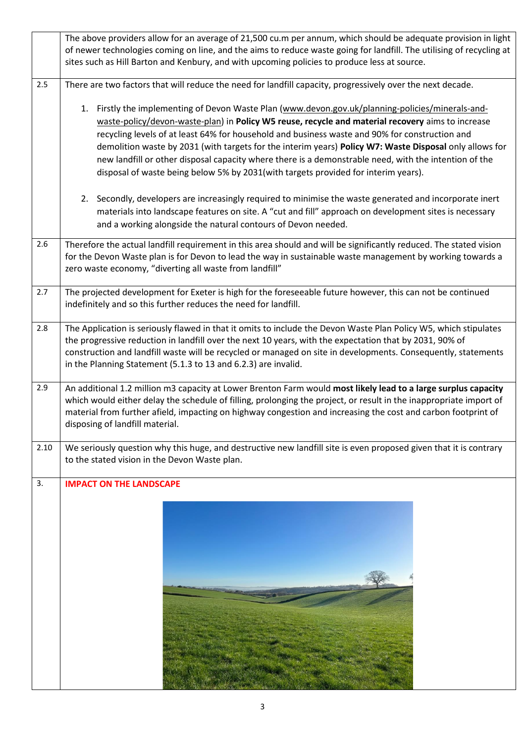|      | The above providers allow for an average of 21,500 cu.m per annum, which should be adequate provision in light<br>of newer technologies coming on line, and the aims to reduce waste going for landfill. The utilising of recycling at<br>sites such as Hill Barton and Kenbury, and with upcoming policies to produce less at source.                                                                                                                                                                                                                                                                                |  |
|------|-----------------------------------------------------------------------------------------------------------------------------------------------------------------------------------------------------------------------------------------------------------------------------------------------------------------------------------------------------------------------------------------------------------------------------------------------------------------------------------------------------------------------------------------------------------------------------------------------------------------------|--|
| 2.5  | There are two factors that will reduce the need for landfill capacity, progressively over the next decade.                                                                                                                                                                                                                                                                                                                                                                                                                                                                                                            |  |
|      | Firstly the implementing of Devon Waste Plan (www.devon.gov.uk/planning-policies/minerals-and-<br>1.<br>waste-policy/devon-waste-plan) in Policy W5 reuse, recycle and material recovery aims to increase<br>recycling levels of at least 64% for household and business waste and 90% for construction and<br>demolition waste by 2031 (with targets for the interim years) Policy W7: Waste Disposal only allows for<br>new landfill or other disposal capacity where there is a demonstrable need, with the intention of the<br>disposal of waste being below 5% by 2031(with targets provided for interim years). |  |
|      | 2. Secondly, developers are increasingly required to minimise the waste generated and incorporate inert<br>materials into landscape features on site. A "cut and fill" approach on development sites is necessary<br>and a working alongside the natural contours of Devon needed.                                                                                                                                                                                                                                                                                                                                    |  |
| 2.6  | Therefore the actual landfill requirement in this area should and will be significantly reduced. The stated vision<br>for the Devon Waste plan is for Devon to lead the way in sustainable waste management by working towards a<br>zero waste economy, "diverting all waste from landfill"                                                                                                                                                                                                                                                                                                                           |  |
| 2.7  | The projected development for Exeter is high for the foreseeable future however, this can not be continued<br>indefinitely and so this further reduces the need for landfill.                                                                                                                                                                                                                                                                                                                                                                                                                                         |  |
| 2.8  | The Application is seriously flawed in that it omits to include the Devon Waste Plan Policy W5, which stipulates<br>the progressive reduction in landfill over the next 10 years, with the expectation that by 2031, 90% of<br>construction and landfill waste will be recycled or managed on site in developments. Consequently, statements<br>in the Planning Statement (5.1.3 to 13 and 6.2.3) are invalid.                                                                                                                                                                                                        |  |
| 2.9  | An additional 1.2 million m3 capacity at Lower Brenton Farm would most likely lead to a large surplus capacity<br>which would either delay the schedule of filling, prolonging the project, or result in the inappropriate import of<br>material from further afield, impacting on highway congestion and increasing the cost and carbon footprint of<br>disposing of landfill material.                                                                                                                                                                                                                              |  |
| 2.10 | We seriously question why this huge, and destructive new landfill site is even proposed given that it is contrary<br>to the stated vision in the Devon Waste plan.                                                                                                                                                                                                                                                                                                                                                                                                                                                    |  |
| 3.   | <b>IMPACT ON THE LANDSCAPE</b>                                                                                                                                                                                                                                                                                                                                                                                                                                                                                                                                                                                        |  |
|      |                                                                                                                                                                                                                                                                                                                                                                                                                                                                                                                                                                                                                       |  |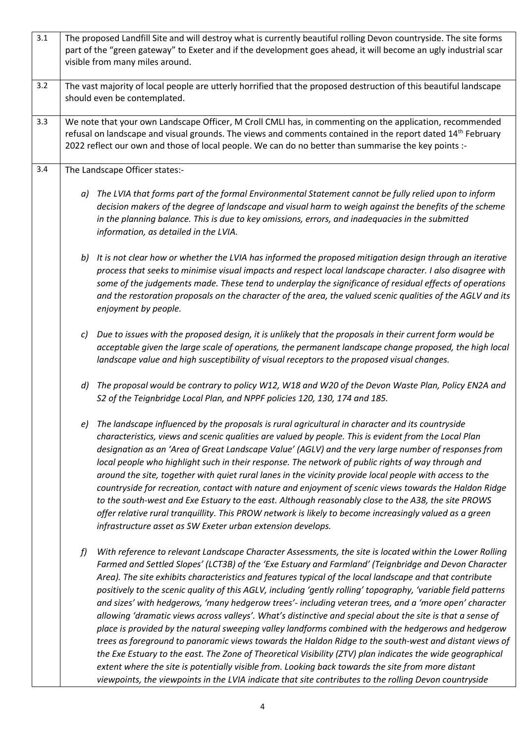| 3.1 | The proposed Landfill Site and will destroy what is currently beautiful rolling Devon countryside. The site forms<br>part of the "green gateway" to Exeter and if the development goes ahead, it will become an ugly industrial scar<br>visible from many miles around. |                                                                                                                                                                                                                                                                                                                                                                                                                                                                                                                                                                                                                                                                                                                                                                                                                                                                                                                                                                                                                                                                                                                                                                                                                        |
|-----|-------------------------------------------------------------------------------------------------------------------------------------------------------------------------------------------------------------------------------------------------------------------------|------------------------------------------------------------------------------------------------------------------------------------------------------------------------------------------------------------------------------------------------------------------------------------------------------------------------------------------------------------------------------------------------------------------------------------------------------------------------------------------------------------------------------------------------------------------------------------------------------------------------------------------------------------------------------------------------------------------------------------------------------------------------------------------------------------------------------------------------------------------------------------------------------------------------------------------------------------------------------------------------------------------------------------------------------------------------------------------------------------------------------------------------------------------------------------------------------------------------|
| 3.2 | The vast majority of local people are utterly horrified that the proposed destruction of this beautiful landscape<br>should even be contemplated.                                                                                                                       |                                                                                                                                                                                                                                                                                                                                                                                                                                                                                                                                                                                                                                                                                                                                                                                                                                                                                                                                                                                                                                                                                                                                                                                                                        |
| 3.3 |                                                                                                                                                                                                                                                                         | We note that your own Landscape Officer, M Croll CMLI has, in commenting on the application, recommended<br>refusal on landscape and visual grounds. The views and comments contained in the report dated 14 <sup>th</sup> February<br>2022 reflect our own and those of local people. We can do no better than summarise the key points :-                                                                                                                                                                                                                                                                                                                                                                                                                                                                                                                                                                                                                                                                                                                                                                                                                                                                            |
| 3.4 | The Landscape Officer states:-                                                                                                                                                                                                                                          |                                                                                                                                                                                                                                                                                                                                                                                                                                                                                                                                                                                                                                                                                                                                                                                                                                                                                                                                                                                                                                                                                                                                                                                                                        |
|     | a)<br>information, as detailed in the LVIA.                                                                                                                                                                                                                             | The LVIA that forms part of the formal Environmental Statement cannot be fully relied upon to inform<br>decision makers of the degree of landscape and visual harm to weigh against the benefits of the scheme<br>in the planning balance. This is due to key omissions, errors, and inadequacies in the submitted                                                                                                                                                                                                                                                                                                                                                                                                                                                                                                                                                                                                                                                                                                                                                                                                                                                                                                     |
|     | b)<br>enjoyment by people.                                                                                                                                                                                                                                              | It is not clear how or whether the LVIA has informed the proposed mitigation design through an iterative<br>process that seeks to minimise visual impacts and respect local landscape character. I also disagree with<br>some of the judgements made. These tend to underplay the significance of residual effects of operations<br>and the restoration proposals on the character of the area, the valued scenic qualities of the AGLV and its                                                                                                                                                                                                                                                                                                                                                                                                                                                                                                                                                                                                                                                                                                                                                                        |
|     | c)                                                                                                                                                                                                                                                                      | Due to issues with the proposed design, it is unlikely that the proposals in their current form would be<br>acceptable given the large scale of operations, the permanent landscape change proposed, the high local<br>landscape value and high susceptibility of visual receptors to the proposed visual changes.                                                                                                                                                                                                                                                                                                                                                                                                                                                                                                                                                                                                                                                                                                                                                                                                                                                                                                     |
|     | $\left  d \right\rangle$                                                                                                                                                                                                                                                | The proposal would be contrary to policy W12, W18 and W20 of the Devon Waste Plan, Policy EN2A and<br>S2 of the Teignbridge Local Plan, and NPPF policies 120, 130, 174 and 185.                                                                                                                                                                                                                                                                                                                                                                                                                                                                                                                                                                                                                                                                                                                                                                                                                                                                                                                                                                                                                                       |
|     | e)                                                                                                                                                                                                                                                                      | The landscape influenced by the proposals is rural agricultural in character and its countryside<br>characteristics, views and scenic qualities are valued by people. This is evident from the Local Plan<br>designation as an 'Area of Great Landscape Value' (AGLV) and the very large number of responses from<br>local people who highlight such in their response. The network of public rights of way through and<br>around the site, together with quiet rural lanes in the vicinity provide local people with access to the<br>countryside for recreation, contact with nature and enjoyment of scenic views towards the Haldon Ridge<br>to the south-west and Exe Estuary to the east. Although reasonably close to the A38, the site PROWS<br>offer relative rural tranquillity. This PROW network is likely to become increasingly valued as a green<br>infrastructure asset as SW Exeter urban extension develops.                                                                                                                                                                                                                                                                                         |
|     | f                                                                                                                                                                                                                                                                       | With reference to relevant Landscape Character Assessments, the site is located within the Lower Rolling<br>Farmed and Settled Slopes' (LCT3B) of the 'Exe Estuary and Farmland' (Teignbridge and Devon Character<br>Area). The site exhibits characteristics and features typical of the local landscape and that contribute<br>positively to the scenic quality of this AGLV, including 'gently rolling' topography, 'variable field patterns<br>and sizes' with hedgerows, 'many hedgerow trees'- including veteran trees, and a 'more open' character<br>allowing 'dramatic views across valleys'. What's distinctive and special about the site is that a sense of<br>place is provided by the natural sweeping valley landforms combined with the hedgerows and hedgerow<br>trees as foreground to panoramic views towards the Haldon Ridge to the south-west and distant views of<br>the Exe Estuary to the east. The Zone of Theoretical Visibility (ZTV) plan indicates the wide geographical<br>extent where the site is potentially visible from. Looking back towards the site from more distant<br>viewpoints, the viewpoints in the LVIA indicate that site contributes to the rolling Devon countryside |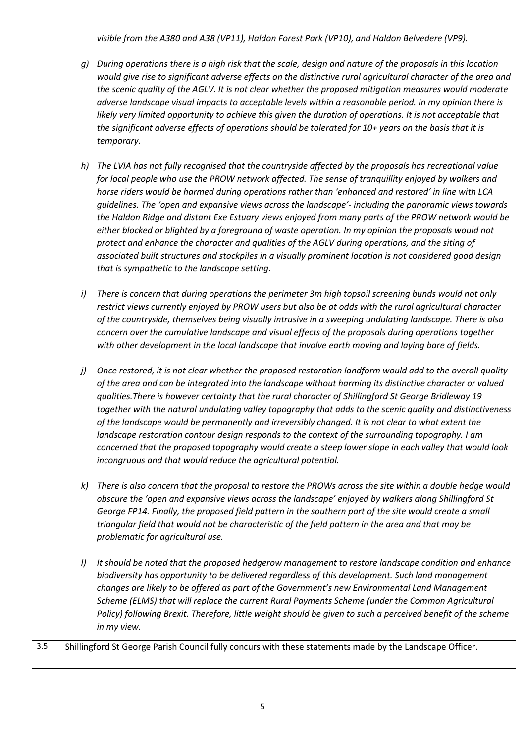*visible from the A380 and A38 (VP11), Haldon Forest Park (VP10), and Haldon Belvedere (VP9).*

- *g) During operations there is a high risk that the scale, design and nature of the proposals in this location would give rise to significant adverse effects on the distinctive rural agricultural character of the area and the scenic quality of the AGLV. It is not clear whether the proposed mitigation measures would moderate adverse landscape visual impacts to acceptable levels within a reasonable period. In my opinion there is*  likely very limited opportunity to achieve this given the duration of operations. It is not acceptable that *the significant adverse effects of operations should be tolerated for 10+ years on the basis that it is temporary.*
- *h) The LVIA has not fully recognised that the countryside affected by the proposals has recreational value for local people who use the PROW network affected. The sense of tranquillity enjoyed by walkers and horse riders would be harmed during operations rather than 'enhanced and restored' in line with LCA guidelines. The 'open and expansive views across the landscape'- including the panoramic views towards the Haldon Ridge and distant Exe Estuary views enjoyed from many parts of the PROW network would be either blocked or blighted by a foreground of waste operation. In my opinion the proposals would not protect and enhance the character and qualities of the AGLV during operations, and the siting of associated built structures and stockpiles in a visually prominent location is not considered good design that is sympathetic to the landscape setting.*
- *i) There is concern that during operations the perimeter 3m high topsoil screening bunds would not only restrict views currently enjoyed by PROW users but also be at odds with the rural agricultural character of the countryside, themselves being visually intrusive in a sweeping undulating landscape. There is also concern over the cumulative landscape and visual effects of the proposals during operations together with other development in the local landscape that involve earth moving and laying bare of fields.*
- *j) Once restored, it is not clear whether the proposed restoration landform would add to the overall quality of the area and can be integrated into the landscape without harming its distinctive character or valued qualities.There is however certainty that the rural character of Shillingford St George Bridleway 19 together with the natural undulating valley topography that adds to the scenic quality and distinctiveness of the landscape would be permanently and irreversibly changed. It is not clear to what extent the landscape restoration contour design responds to the context of the surrounding topography. I am concerned that the proposed topography would create a steep lower slope in each valley that would look incongruous and that would reduce the agricultural potential.*
- *k) There is also concern that the proposal to restore the PROWs across the site within a double hedge would obscure the 'open and expansive views across the landscape' enjoyed by walkers along Shillingford St George FP14. Finally, the proposed field pattern in the southern part of the site would create a small triangular field that would not be characteristic of the field pattern in the area and that may be problematic for agricultural use.*
- *l) It should be noted that the proposed hedgerow management to restore landscape condition and enhance biodiversity has opportunity to be delivered regardless of this development. Such land management changes are likely to be offered as part of the Government's new Environmental Land Management Scheme (ELMS) that will replace the current Rural Payments Scheme (under the Common Agricultural Policy) following Brexit. Therefore, little weight should be given to such a perceived benefit of the scheme in my view.*

3.5 Shillingford St George Parish Council fully concurs with these statements made by the Landscape Officer.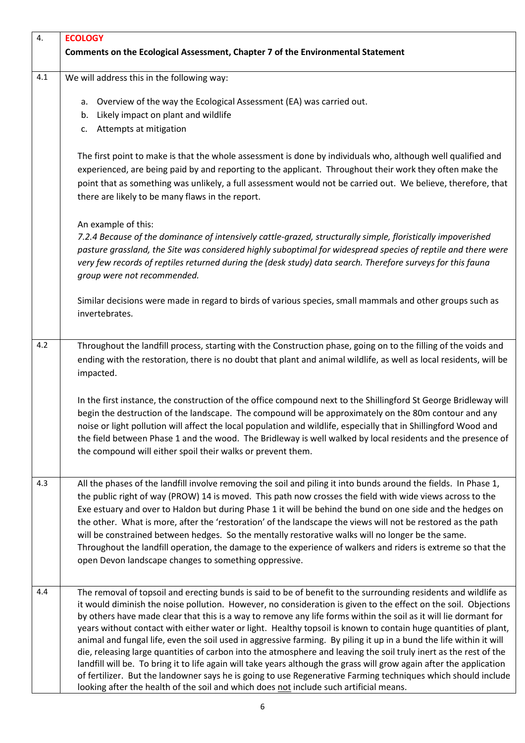| 4.  | <b>ECOLOGY</b>                                                                                                                                                                                                                                                                                                                                                                                                                                                                                                                                                                                                                                                                                                                                                                                                                                                                                                                        |
|-----|---------------------------------------------------------------------------------------------------------------------------------------------------------------------------------------------------------------------------------------------------------------------------------------------------------------------------------------------------------------------------------------------------------------------------------------------------------------------------------------------------------------------------------------------------------------------------------------------------------------------------------------------------------------------------------------------------------------------------------------------------------------------------------------------------------------------------------------------------------------------------------------------------------------------------------------|
|     | Comments on the Ecological Assessment, Chapter 7 of the Environmental Statement                                                                                                                                                                                                                                                                                                                                                                                                                                                                                                                                                                                                                                                                                                                                                                                                                                                       |
| 4.1 | We will address this in the following way:                                                                                                                                                                                                                                                                                                                                                                                                                                                                                                                                                                                                                                                                                                                                                                                                                                                                                            |
|     | Overview of the way the Ecological Assessment (EA) was carried out.<br>а.                                                                                                                                                                                                                                                                                                                                                                                                                                                                                                                                                                                                                                                                                                                                                                                                                                                             |
|     | Likely impact on plant and wildlife<br>b.                                                                                                                                                                                                                                                                                                                                                                                                                                                                                                                                                                                                                                                                                                                                                                                                                                                                                             |
|     | Attempts at mitigation<br>c.                                                                                                                                                                                                                                                                                                                                                                                                                                                                                                                                                                                                                                                                                                                                                                                                                                                                                                          |
|     | The first point to make is that the whole assessment is done by individuals who, although well qualified and<br>experienced, are being paid by and reporting to the applicant. Throughout their work they often make the<br>point that as something was unlikely, a full assessment would not be carried out. We believe, therefore, that<br>there are likely to be many flaws in the report.                                                                                                                                                                                                                                                                                                                                                                                                                                                                                                                                         |
|     | An example of this:                                                                                                                                                                                                                                                                                                                                                                                                                                                                                                                                                                                                                                                                                                                                                                                                                                                                                                                   |
|     | 7.2.4 Because of the dominance of intensively cattle-grazed, structurally simple, floristically impoverished<br>pasture grassland, the Site was considered highly suboptimal for widespread species of reptile and there were<br>very few records of reptiles returned during the (desk study) data search. Therefore surveys for this fauna<br>group were not recommended.                                                                                                                                                                                                                                                                                                                                                                                                                                                                                                                                                           |
|     | Similar decisions were made in regard to birds of various species, small mammals and other groups such as<br>invertebrates.                                                                                                                                                                                                                                                                                                                                                                                                                                                                                                                                                                                                                                                                                                                                                                                                           |
| 4.2 | Throughout the landfill process, starting with the Construction phase, going on to the filling of the voids and                                                                                                                                                                                                                                                                                                                                                                                                                                                                                                                                                                                                                                                                                                                                                                                                                       |
|     | ending with the restoration, there is no doubt that plant and animal wildlife, as well as local residents, will be<br>impacted.                                                                                                                                                                                                                                                                                                                                                                                                                                                                                                                                                                                                                                                                                                                                                                                                       |
|     | In the first instance, the construction of the office compound next to the Shillingford St George Bridleway will<br>begin the destruction of the landscape. The compound will be approximately on the 80m contour and any<br>noise or light pollution will affect the local population and wildlife, especially that in Shillingford Wood and<br>the field between Phase 1 and the wood. The Bridleway is well walked by local residents and the presence of<br>the compound will either spoil their walks or prevent them.                                                                                                                                                                                                                                                                                                                                                                                                           |
| 4.3 | All the phases of the landfill involve removing the soil and piling it into bunds around the fields. In Phase 1,                                                                                                                                                                                                                                                                                                                                                                                                                                                                                                                                                                                                                                                                                                                                                                                                                      |
|     | the public right of way (PROW) 14 is moved. This path now crosses the field with wide views across to the<br>Exe estuary and over to Haldon but during Phase 1 it will be behind the bund on one side and the hedges on<br>the other. What is more, after the 'restoration' of the landscape the views will not be restored as the path<br>will be constrained between hedges. So the mentally restorative walks will no longer be the same.<br>Throughout the landfill operation, the damage to the experience of walkers and riders is extreme so that the<br>open Devon landscape changes to something oppressive.                                                                                                                                                                                                                                                                                                                 |
| 4.4 | The removal of topsoil and erecting bunds is said to be of benefit to the surrounding residents and wildlife as                                                                                                                                                                                                                                                                                                                                                                                                                                                                                                                                                                                                                                                                                                                                                                                                                       |
|     | it would diminish the noise pollution. However, no consideration is given to the effect on the soil. Objections<br>by others have made clear that this is a way to remove any life forms within the soil as it will lie dormant for<br>years without contact with either water or light. Healthy topsoil is known to contain huge quantities of plant,<br>animal and fungal life, even the soil used in aggressive farming. By piling it up in a bund the life within it will<br>die, releasing large quantities of carbon into the atmosphere and leaving the soil truly inert as the rest of the<br>landfill will be. To bring it to life again will take years although the grass will grow again after the application<br>of fertilizer. But the landowner says he is going to use Regenerative Farming techniques which should include<br>looking after the health of the soil and which does not include such artificial means. |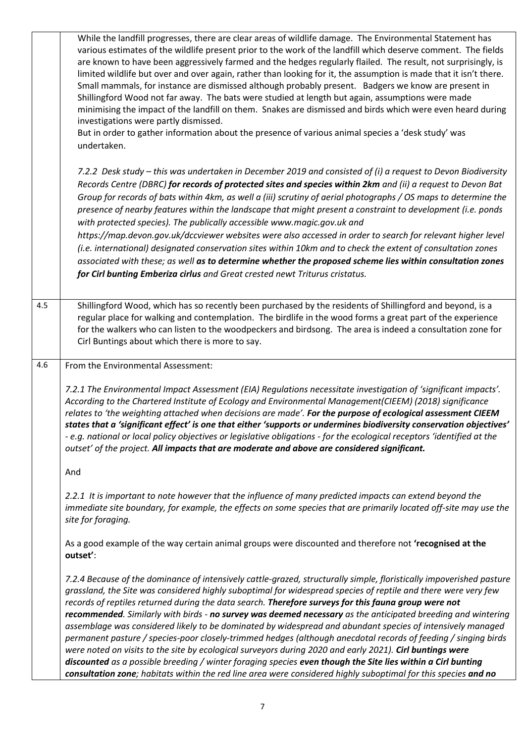|     | While the landfill progresses, there are clear areas of wildlife damage. The Environmental Statement has<br>various estimates of the wildlife present prior to the work of the landfill which deserve comment. The fields<br>are known to have been aggressively farmed and the hedges regularly flailed. The result, not surprisingly, is<br>limited wildlife but over and over again, rather than looking for it, the assumption is made that it isn't there.<br>Small mammals, for instance are dismissed although probably present. Badgers we know are present in<br>Shillingford Wood not far away. The bats were studied at length but again, assumptions were made<br>minimising the impact of the landfill on them. Snakes are dismissed and birds which were even heard during<br>investigations were partly dismissed.<br>But in order to gather information about the presence of various animal species a 'desk study' was<br>undertaken.                                                                                      |
|-----|---------------------------------------------------------------------------------------------------------------------------------------------------------------------------------------------------------------------------------------------------------------------------------------------------------------------------------------------------------------------------------------------------------------------------------------------------------------------------------------------------------------------------------------------------------------------------------------------------------------------------------------------------------------------------------------------------------------------------------------------------------------------------------------------------------------------------------------------------------------------------------------------------------------------------------------------------------------------------------------------------------------------------------------------|
|     | 7.2.2 Desk study – this was undertaken in December 2019 and consisted of (i) a request to Devon Biodiversity<br>Records Centre (DBRC) for records of protected sites and species within 2km and (ii) a request to Devon Bat<br>Group for records of bats within 4km, as well a (iii) scrutiny of aerial photographs / OS maps to determine the<br>presence of nearby features within the landscape that might present a constraint to development (i.e. ponds<br>with protected species). The publically accessible www.magic.gov.uk and<br>https://map.devon.gov.uk/dccviewer websites were also accessed in order to search for relevant higher level<br>(i.e. international) designated conservation sites within 10km and to check the extent of consultation zones<br>associated with these; as well as to determine whether the proposed scheme lies within consultation zones<br>for Cirl bunting Emberiza cirlus and Great crested newt Triturus cristatus.                                                                         |
| 4.5 | Shillingford Wood, which has so recently been purchased by the residents of Shillingford and beyond, is a<br>regular place for walking and contemplation. The birdlife in the wood forms a great part of the experience<br>for the walkers who can listen to the woodpeckers and birdsong. The area is indeed a consultation zone for<br>Cirl Buntings about which there is more to say.                                                                                                                                                                                                                                                                                                                                                                                                                                                                                                                                                                                                                                                    |
| 4.6 | From the Environmental Assessment:                                                                                                                                                                                                                                                                                                                                                                                                                                                                                                                                                                                                                                                                                                                                                                                                                                                                                                                                                                                                          |
|     | 7.2.1 The Environmental Impact Assessment (EIA) Regulations necessitate investigation of 'significant impacts'.<br>According to the Chartered Institute of Ecology and Environmental Management(CIEEM) (2018) significance<br>relates to 'the weighting attached when decisions are made'. For the purpose of ecological assessment CIEEM<br>states that a 'significant effect' is one that either 'supports or undermines biodiversity conservation objectives'<br>- e.g. national or local policy objectives or legislative obligations - for the ecological receptors 'identified at the<br>outset' of the project. All impacts that are moderate and above are considered significant.                                                                                                                                                                                                                                                                                                                                                  |
|     | And                                                                                                                                                                                                                                                                                                                                                                                                                                                                                                                                                                                                                                                                                                                                                                                                                                                                                                                                                                                                                                         |
|     | 2.2.1 It is important to note however that the influence of many predicted impacts can extend beyond the<br>immediate site boundary, for example, the effects on some species that are primarily located off-site may use the<br>site for foraging.                                                                                                                                                                                                                                                                                                                                                                                                                                                                                                                                                                                                                                                                                                                                                                                         |
|     | As a good example of the way certain animal groups were discounted and therefore not 'recognised at the<br>outset':                                                                                                                                                                                                                                                                                                                                                                                                                                                                                                                                                                                                                                                                                                                                                                                                                                                                                                                         |
|     | 7.2.4 Because of the dominance of intensively cattle-grazed, structurally simple, floristically impoverished pasture<br>grassland, the Site was considered highly suboptimal for widespread species of reptile and there were very few<br>records of reptiles returned during the data search. Therefore surveys for this fauna group were not<br>recommended. Similarly with birds - no survey was deemed necessary as the anticipated breeding and wintering<br>assemblage was considered likely to be dominated by widespread and abundant species of intensively managed<br>permanent pasture / species-poor closely-trimmed hedges (although anecdotal records of feeding / singing birds<br>were noted on visits to the site by ecological surveyors during 2020 and early 2021). Cirl buntings were<br>discounted as a possible breeding / winter foraging species even though the Site lies within a Cirl bunting<br>consultation zone; habitats within the red line area were considered highly suboptimal for this species and no |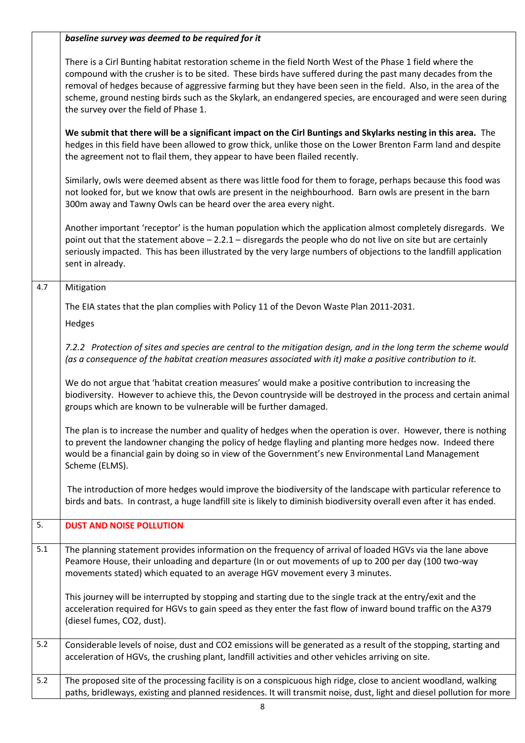|     | baseline survey was deemed to be required for it                                                                                                                                                                                                                                                                                                                                                                                                                                                  |  |  |
|-----|---------------------------------------------------------------------------------------------------------------------------------------------------------------------------------------------------------------------------------------------------------------------------------------------------------------------------------------------------------------------------------------------------------------------------------------------------------------------------------------------------|--|--|
|     | There is a Cirl Bunting habitat restoration scheme in the field North West of the Phase 1 field where the<br>compound with the crusher is to be sited. These birds have suffered during the past many decades from the<br>removal of hedges because of aggressive farming but they have been seen in the field. Also, in the area of the<br>scheme, ground nesting birds such as the Skylark, an endangered species, are encouraged and were seen during<br>the survey over the field of Phase 1. |  |  |
|     | We submit that there will be a significant impact on the Cirl Buntings and Skylarks nesting in this area. The<br>hedges in this field have been allowed to grow thick, unlike those on the Lower Brenton Farm land and despite<br>the agreement not to flail them, they appear to have been flailed recently.                                                                                                                                                                                     |  |  |
|     | Similarly, owls were deemed absent as there was little food for them to forage, perhaps because this food was<br>not looked for, but we know that owls are present in the neighbourhood. Barn owls are present in the barn<br>300m away and Tawny Owls can be heard over the area every night.                                                                                                                                                                                                    |  |  |
|     | Another important 'receptor' is the human population which the application almost completely disregards. We<br>point out that the statement above - 2.2.1 - disregards the people who do not live on site but are certainly<br>seriously impacted. This has been illustrated by the very large numbers of objections to the landfill application<br>sent in already.                                                                                                                              |  |  |
| 4.7 | Mitigation                                                                                                                                                                                                                                                                                                                                                                                                                                                                                        |  |  |
|     | The EIA states that the plan complies with Policy 11 of the Devon Waste Plan 2011-2031.                                                                                                                                                                                                                                                                                                                                                                                                           |  |  |
|     | Hedges                                                                                                                                                                                                                                                                                                                                                                                                                                                                                            |  |  |
|     | 7.2.2 Protection of sites and species are central to the mitigation design, and in the long term the scheme would<br>(as a consequence of the habitat creation measures associated with it) make a positive contribution to it.                                                                                                                                                                                                                                                                   |  |  |
|     | We do not argue that 'habitat creation measures' would make a positive contribution to increasing the<br>biodiversity. However to achieve this, the Devon countryside will be destroyed in the process and certain animal<br>groups which are known to be vulnerable will be further damaged.                                                                                                                                                                                                     |  |  |
|     | The plan is to increase the number and quality of hedges when the operation is over. However, there is nothing<br>to prevent the landowner changing the policy of hedge flayling and planting more hedges now. Indeed there<br>would be a financial gain by doing so in view of the Government's new Environmental Land Management<br>Scheme (ELMS).                                                                                                                                              |  |  |
|     | The introduction of more hedges would improve the biodiversity of the landscape with particular reference to<br>birds and bats. In contrast, a huge landfill site is likely to diminish biodiversity overall even after it has ended.                                                                                                                                                                                                                                                             |  |  |
| 5.  | <b>DUST AND NOISE POLLUTION</b>                                                                                                                                                                                                                                                                                                                                                                                                                                                                   |  |  |
| 5.1 | The planning statement provides information on the frequency of arrival of loaded HGVs via the lane above<br>Peamore House, their unloading and departure (In or out movements of up to 200 per day (100 two-way<br>movements stated) which equated to an average HGV movement every 3 minutes.                                                                                                                                                                                                   |  |  |
|     | This journey will be interrupted by stopping and starting due to the single track at the entry/exit and the<br>acceleration required for HGVs to gain speed as they enter the fast flow of inward bound traffic on the A379<br>(diesel fumes, CO2, dust).                                                                                                                                                                                                                                         |  |  |
| 5.2 | Considerable levels of noise, dust and CO2 emissions will be generated as a result of the stopping, starting and<br>acceleration of HGVs, the crushing plant, landfill activities and other vehicles arriving on site.                                                                                                                                                                                                                                                                            |  |  |
| 5.2 | The proposed site of the processing facility is on a conspicuous high ridge, close to ancient woodland, walking<br>paths, bridleways, existing and planned residences. It will transmit noise, dust, light and diesel pollution for more                                                                                                                                                                                                                                                          |  |  |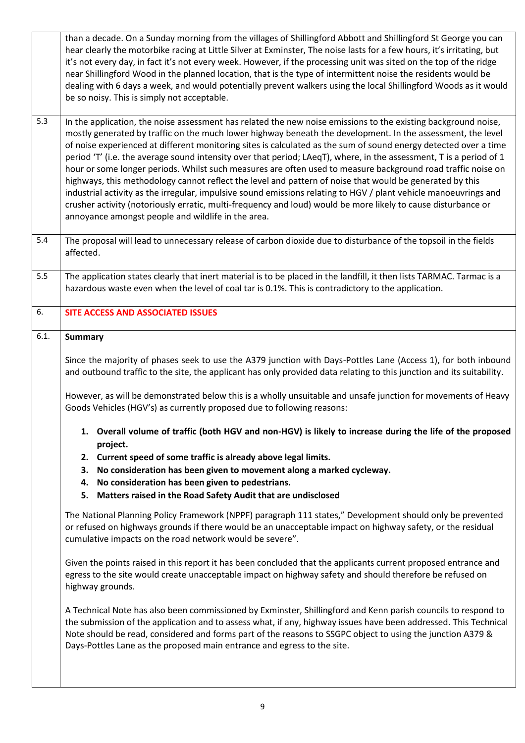|      | than a decade. On a Sunday morning from the villages of Shillingford Abbott and Shillingford St George you can<br>hear clearly the motorbike racing at Little Silver at Exminster, The noise lasts for a few hours, it's irritating, but<br>it's not every day, in fact it's not every week. However, if the processing unit was sited on the top of the ridge<br>near Shillingford Wood in the planned location, that is the type of intermittent noise the residents would be<br>dealing with 6 days a week, and would potentially prevent walkers using the local Shillingford Woods as it would<br>be so noisy. This is simply not acceptable.                                                                                                                                                                                                                                                                                                                                                                                                                                                                                                                                                                                                                                                                                                                           |
|------|------------------------------------------------------------------------------------------------------------------------------------------------------------------------------------------------------------------------------------------------------------------------------------------------------------------------------------------------------------------------------------------------------------------------------------------------------------------------------------------------------------------------------------------------------------------------------------------------------------------------------------------------------------------------------------------------------------------------------------------------------------------------------------------------------------------------------------------------------------------------------------------------------------------------------------------------------------------------------------------------------------------------------------------------------------------------------------------------------------------------------------------------------------------------------------------------------------------------------------------------------------------------------------------------------------------------------------------------------------------------------|
| 5.3  | In the application, the noise assessment has related the new noise emissions to the existing background noise,<br>mostly generated by traffic on the much lower highway beneath the development. In the assessment, the level<br>of noise experienced at different monitoring sites is calculated as the sum of sound energy detected over a time<br>period 'T' (i.e. the average sound intensity over that period; LAeqT), where, in the assessment, T is a period of 1<br>hour or some longer periods. Whilst such measures are often used to measure background road traffic noise on<br>highways, this methodology cannot reflect the level and pattern of noise that would be generated by this<br>industrial activity as the irregular, impulsive sound emissions relating to HGV / plant vehicle manoeuvrings and<br>crusher activity (notoriously erratic, multi-frequency and loud) would be more likely to cause disturbance or<br>annoyance amongst people and wildlife in the area.                                                                                                                                                                                                                                                                                                                                                                              |
| 5.4  | The proposal will lead to unnecessary release of carbon dioxide due to disturbance of the topsoil in the fields<br>affected.                                                                                                                                                                                                                                                                                                                                                                                                                                                                                                                                                                                                                                                                                                                                                                                                                                                                                                                                                                                                                                                                                                                                                                                                                                                 |
| 5.5  | The application states clearly that inert material is to be placed in the landfill, it then lists TARMAC. Tarmac is a<br>hazardous waste even when the level of coal tar is 0.1%. This is contradictory to the application.                                                                                                                                                                                                                                                                                                                                                                                                                                                                                                                                                                                                                                                                                                                                                                                                                                                                                                                                                                                                                                                                                                                                                  |
| 6.   | SITE ACCESS AND ASSOCIATED ISSUES                                                                                                                                                                                                                                                                                                                                                                                                                                                                                                                                                                                                                                                                                                                                                                                                                                                                                                                                                                                                                                                                                                                                                                                                                                                                                                                                            |
| 6.1. | <b>Summary</b><br>Since the majority of phases seek to use the A379 junction with Days-Pottles Lane (Access 1), for both inbound<br>and outbound traffic to the site, the applicant has only provided data relating to this junction and its suitability.<br>However, as will be demonstrated below this is a wholly unsuitable and unsafe junction for movements of Heavy<br>Goods Vehicles (HGV's) as currently proposed due to following reasons:                                                                                                                                                                                                                                                                                                                                                                                                                                                                                                                                                                                                                                                                                                                                                                                                                                                                                                                         |
|      | 1. Overall volume of traffic (both HGV and non-HGV) is likely to increase during the life of the proposed<br>project.<br>2. Current speed of some traffic is already above legal limits.<br>No consideration has been given to movement along a marked cycleway.<br>3.<br>No consideration has been given to pedestrians.<br>4.<br>Matters raised in the Road Safety Audit that are undisclosed<br>5.<br>The National Planning Policy Framework (NPPF) paragraph 111 states," Development should only be prevented<br>or refused on highways grounds if there would be an unacceptable impact on highway safety, or the residual<br>cumulative impacts on the road network would be severe".<br>Given the points raised in this report it has been concluded that the applicants current proposed entrance and<br>egress to the site would create unacceptable impact on highway safety and should therefore be refused on<br>highway grounds.<br>A Technical Note has also been commissioned by Exminster, Shillingford and Kenn parish councils to respond to<br>the submission of the application and to assess what, if any, highway issues have been addressed. This Technical<br>Note should be read, considered and forms part of the reasons to SSGPC object to using the junction A379 &<br>Days-Pottles Lane as the proposed main entrance and egress to the site. |
|      |                                                                                                                                                                                                                                                                                                                                                                                                                                                                                                                                                                                                                                                                                                                                                                                                                                                                                                                                                                                                                                                                                                                                                                                                                                                                                                                                                                              |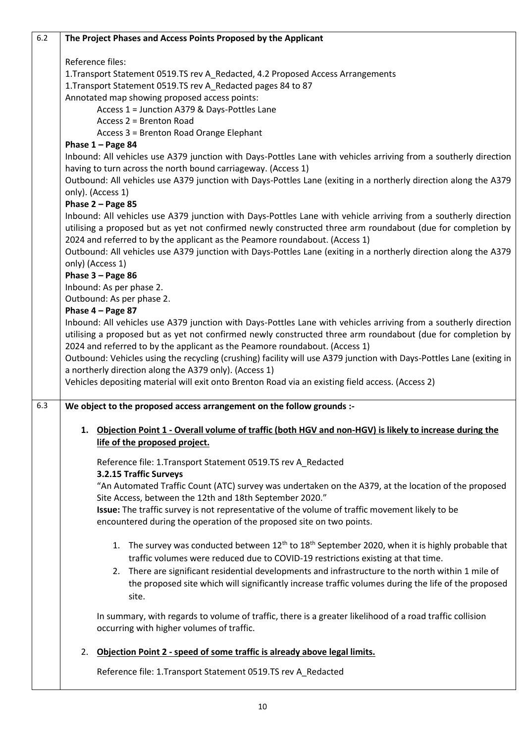| 6.2 | The Project Phases and Access Points Proposed by the Applicant                                                                                                                             |
|-----|--------------------------------------------------------------------------------------------------------------------------------------------------------------------------------------------|
|     | Reference files:                                                                                                                                                                           |
|     | 1. Transport Statement 0519.TS rev A_Redacted, 4.2 Proposed Access Arrangements                                                                                                            |
|     | 1. Transport Statement 0519. TS rev A_Redacted pages 84 to 87                                                                                                                              |
|     | Annotated map showing proposed access points:                                                                                                                                              |
|     | Access 1 = Junction A379 & Days-Pottles Lane                                                                                                                                               |
|     | Access 2 = Brenton Road                                                                                                                                                                    |
|     | Access 3 = Brenton Road Orange Elephant                                                                                                                                                    |
|     | Phase 1 - Page 84                                                                                                                                                                          |
|     | Inbound: All vehicles use A379 junction with Days-Pottles Lane with vehicles arriving from a southerly direction                                                                           |
|     | having to turn across the north bound carriageway. (Access 1)                                                                                                                              |
|     | Outbound: All vehicles use A379 junction with Days-Pottles Lane (exiting in a northerly direction along the A379                                                                           |
|     | only). (Access 1)                                                                                                                                                                          |
|     | Phase 2 - Page 85                                                                                                                                                                          |
|     | Inbound: All vehicles use A379 junction with Days-Pottles Lane with vehicle arriving from a southerly direction                                                                            |
|     | utilising a proposed but as yet not confirmed newly constructed three arm roundabout (due for completion by                                                                                |
|     | 2024 and referred to by the applicant as the Peamore roundabout. (Access 1)                                                                                                                |
|     | Outbound: All vehicles use A379 junction with Days-Pottles Lane (exiting in a northerly direction along the A379                                                                           |
|     | only) (Access 1)                                                                                                                                                                           |
|     | Phase $3 - Page 86$                                                                                                                                                                        |
|     | Inbound: As per phase 2.                                                                                                                                                                   |
|     | Outbound: As per phase 2.                                                                                                                                                                  |
|     | Phase 4 - Page 87                                                                                                                                                                          |
|     | Inbound: All vehicles use A379 junction with Days-Pottles Lane with vehicles arriving from a southerly direction                                                                           |
|     | utilising a proposed but as yet not confirmed newly constructed three arm roundabout (due for completion by<br>2024 and referred to by the applicant as the Peamore roundabout. (Access 1) |
|     | Outbound: Vehicles using the recycling (crushing) facility will use A379 junction with Days-Pottles Lane (exiting in                                                                       |
|     | a northerly direction along the A379 only). (Access 1)                                                                                                                                     |
|     | Vehicles depositing material will exit onto Brenton Road via an existing field access. (Access 2)                                                                                          |
|     |                                                                                                                                                                                            |
| 6.3 | We object to the proposed access arrangement on the follow grounds :-                                                                                                                      |
|     | 1. Objection Point 1 - Overall volume of traffic (both HGV and non-HGV) is likely to increase during the                                                                                   |
|     | life of the proposed project.                                                                                                                                                              |
|     |                                                                                                                                                                                            |
|     | Reference file: 1. Transport Statement 0519. TS rev A_Redacted                                                                                                                             |
|     | 3.2.15 Traffic Surveys                                                                                                                                                                     |
|     | "An Automated Traffic Count (ATC) survey was undertaken on the A379, at the location of the proposed                                                                                       |
|     | Site Access, between the 12th and 18th September 2020."                                                                                                                                    |
|     | Issue: The traffic survey is not representative of the volume of traffic movement likely to be                                                                                             |
|     | encountered during the operation of the proposed site on two points.                                                                                                                       |
|     | 1. The survey was conducted between 12 <sup>th</sup> to 18 <sup>th</sup> September 2020, when it is highly probable that                                                                   |
|     |                                                                                                                                                                                            |
|     | traffic volumes were reduced due to COVID-19 restrictions existing at that time.                                                                                                           |
|     | 2. There are significant residential developments and infrastructure to the north within 1 mile of                                                                                         |
|     | the proposed site which will significantly increase traffic volumes during the life of the proposed                                                                                        |
|     | site.                                                                                                                                                                                      |
|     | In summary, with regards to volume of traffic, there is a greater likelihood of a road traffic collision                                                                                   |
|     | occurring with higher volumes of traffic.                                                                                                                                                  |
|     | Objection Point 2 - speed of some traffic is already above legal limits.<br>2.                                                                                                             |
|     | Reference file: 1. Transport Statement 0519. TS rev A_Redacted                                                                                                                             |
|     |                                                                                                                                                                                            |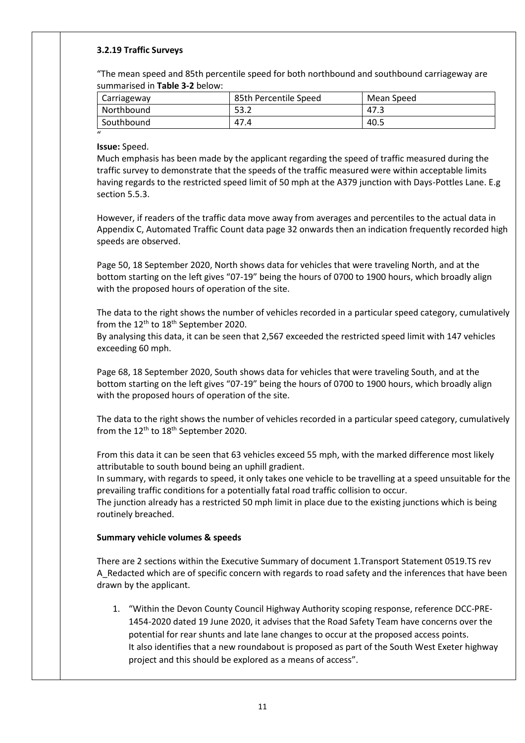## **3.2.19 Traffic Surveys**

"The mean speed and 85th percentile speed for both northbound and southbound carriageway are summarised in **Table 3-2** below:

| Carriageway | 85th Percentile Speed | Mean Speed |
|-------------|-----------------------|------------|
| Northbound  | 53.2                  | 47.3       |
| Southbound  | 47.4                  | 40.5       |
| $\prime$    |                       |            |

### **Issue:** Speed.

Much emphasis has been made by the applicant regarding the speed of traffic measured during the traffic survey to demonstrate that the speeds of the traffic measured were within acceptable limits having regards to the restricted speed limit of 50 mph at the A379 junction with Days-Pottles Lane. E.g section 5.5.3.

However, if readers of the traffic data move away from averages and percentiles to the actual data in Appendix C, Automated Traffic Count data page 32 onwards then an indication frequently recorded high speeds are observed.

Page 50, 18 September 2020, North shows data for vehicles that were traveling North, and at the bottom starting on the left gives "07-19" being the hours of 0700 to 1900 hours, which broadly align with the proposed hours of operation of the site.

The data to the right shows the number of vehicles recorded in a particular speed category, cumulatively from the  $12<sup>th</sup>$  to  $18<sup>th</sup>$  September 2020.

By analysing this data, it can be seen that 2,567 exceeded the restricted speed limit with 147 vehicles exceeding 60 mph.

Page 68, 18 September 2020, South shows data for vehicles that were traveling South, and at the bottom starting on the left gives "07-19" being the hours of 0700 to 1900 hours, which broadly align with the proposed hours of operation of the site.

The data to the right shows the number of vehicles recorded in a particular speed category, cumulatively from the  $12<sup>th</sup>$  to  $18<sup>th</sup>$  September 2020.

From this data it can be seen that 63 vehicles exceed 55 mph, with the marked difference most likely attributable to south bound being an uphill gradient.

In summary, with regards to speed, it only takes one vehicle to be travelling at a speed unsuitable for the prevailing traffic conditions for a potentially fatal road traffic collision to occur.

The junction already has a restricted 50 mph limit in place due to the existing junctions which is being routinely breached.

### **Summary vehicle volumes & speeds**

There are 2 sections within the Executive Summary of document 1.Transport Statement 0519.TS rev A\_Redacted which are of specific concern with regards to road safety and the inferences that have been drawn by the applicant.

1. "Within the Devon County Council Highway Authority scoping response, reference DCC-PRE-1454-2020 dated 19 June 2020, it advises that the Road Safety Team have concerns over the potential for rear shunts and late lane changes to occur at the proposed access points. It also identifies that a new roundabout is proposed as part of the South West Exeter highway project and this should be explored as a means of access".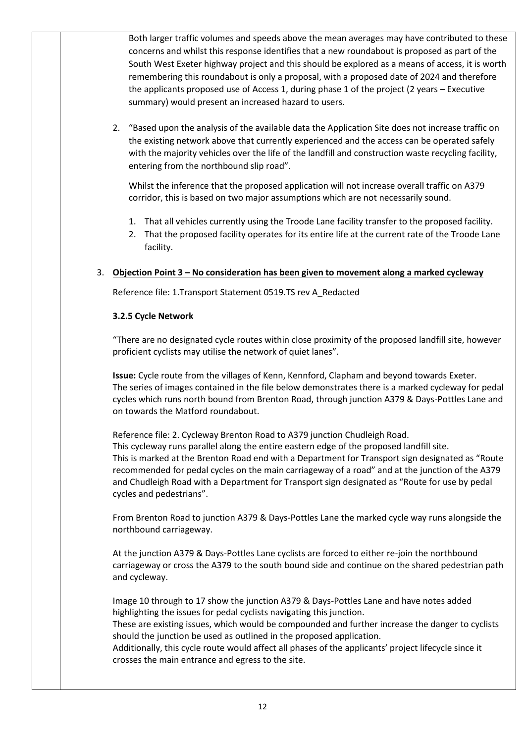Both larger traffic volumes and speeds above the mean averages may have contributed to these concerns and whilst this response identifies that a new roundabout is proposed as part of the South West Exeter highway project and this should be explored as a means of access, it is worth remembering this roundabout is only a proposal, with a proposed date of 2024 and therefore the applicants proposed use of Access 1, during phase 1 of the project (2 years – Executive summary) would present an increased hazard to users.

2. "Based upon the analysis of the available data the Application Site does not increase traffic on the existing network above that currently experienced and the access can be operated safely with the majority vehicles over the life of the landfill and construction waste recycling facility, entering from the northbound slip road".

Whilst the inference that the proposed application will not increase overall traffic on A379 corridor, this is based on two major assumptions which are not necessarily sound.

- 1. That all vehicles currently using the Troode Lane facility transfer to the proposed facility.
- 2. That the proposed facility operates for its entire life at the current rate of the Troode Lane facility.

# 3. **Objection Point 3 – No consideration has been given to movement along a marked cycleway**

Reference file: 1.Transport Statement 0519.TS rev A\_Redacted

## **3.2.5 Cycle Network**

"There are no designated cycle routes within close proximity of the proposed landfill site, however proficient cyclists may utilise the network of quiet lanes".

**Issue:** Cycle route from the villages of Kenn, Kennford, Clapham and beyond towards Exeter. The series of images contained in the file below demonstrates there is a marked cycleway for pedal cycles which runs north bound from Brenton Road, through junction A379 & Days-Pottles Lane and on towards the Matford roundabout.

Reference file: 2. Cycleway Brenton Road to A379 junction Chudleigh Road. This cycleway runs parallel along the entire eastern edge of the proposed landfill site. This is marked at the Brenton Road end with a Department for Transport sign designated as "Route recommended for pedal cycles on the main carriageway of a road" and at the junction of the A379 and Chudleigh Road with a Department for Transport sign designated as "Route for use by pedal cycles and pedestrians".

From Brenton Road to junction A379 & Days-Pottles Lane the marked cycle way runs alongside the northbound carriageway.

At the junction A379 & Days-Pottles Lane cyclists are forced to either re-join the northbound carriageway or cross the A379 to the south bound side and continue on the shared pedestrian path and cycleway.

Image 10 through to 17 show the junction A379 & Days-Pottles Lane and have notes added highlighting the issues for pedal cyclists navigating this junction.

These are existing issues, which would be compounded and further increase the danger to cyclists should the junction be used as outlined in the proposed application.

Additionally, this cycle route would affect all phases of the applicants' project lifecycle since it crosses the main entrance and egress to the site.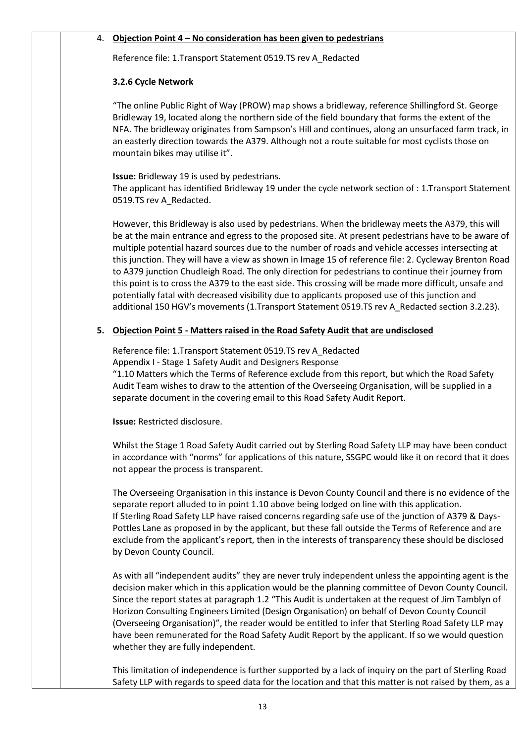### 4. **Objection Point 4 – No consideration has been given to pedestrians**

Reference file: 1.Transport Statement 0519.TS rev A\_Redacted

#### **3.2.6 Cycle Network**

"The online Public Right of Way (PROW) map shows a bridleway, reference Shillingford St. George Bridleway 19, located along the northern side of the field boundary that forms the extent of the NFA. The bridleway originates from Sampson's Hill and continues, along an unsurfaced farm track, in an easterly direction towards the A379. Although not a route suitable for most cyclists those on mountain bikes may utilise it".

#### **Issue:** Bridleway 19 is used by pedestrians.

The applicant has identified Bridleway 19 under the cycle network section of : 1.Transport Statement 0519.TS rev A\_Redacted.

However, this Bridleway is also used by pedestrians. When the bridleway meets the A379, this will be at the main entrance and egress to the proposed site. At present pedestrians have to be aware of multiple potential hazard sources due to the number of roads and vehicle accesses intersecting at this junction. They will have a view as shown in Image 15 of reference file: 2. Cycleway Brenton Road to A379 junction Chudleigh Road. The only direction for pedestrians to continue their journey from this point is to cross the A379 to the east side. This crossing will be made more difficult, unsafe and potentially fatal with decreased visibility due to applicants proposed use of this junction and additional 150 HGV's movements (1.Transport Statement 0519.TS rev A\_Redacted section 3.2.23).

### **5. Objection Point 5 - Matters raised in the Road Safety Audit that are undisclosed**

Reference file: 1.Transport Statement 0519.TS rev A\_Redacted

Appendix I - Stage 1 Safety Audit and Designers Response

"1.10 Matters which the Terms of Reference exclude from this report, but which the Road Safety Audit Team wishes to draw to the attention of the Overseeing Organisation, will be supplied in a separate document in the covering email to this Road Safety Audit Report.

**Issue:** Restricted disclosure.

Whilst the Stage 1 Road Safety Audit carried out by Sterling Road Safety LLP may have been conduct in accordance with "norms" for applications of this nature, SSGPC would like it on record that it does not appear the process is transparent.

The Overseeing Organisation in this instance is Devon County Council and there is no evidence of the separate report alluded to in point 1.10 above being lodged on line with this application. If Sterling Road Safety LLP have raised concerns regarding safe use of the junction of A379 & Days-Pottles Lane as proposed in by the applicant, but these fall outside the Terms of Reference and are exclude from the applicant's report, then in the interests of transparency these should be disclosed by Devon County Council.

As with all "independent audits" they are never truly independent unless the appointing agent is the decision maker which in this application would be the planning committee of Devon County Council. Since the report states at paragraph 1.2 "This Audit is undertaken at the request of Jim Tamblyn of Horizon Consulting Engineers Limited (Design Organisation) on behalf of Devon County Council (Overseeing Organisation)", the reader would be entitled to infer that Sterling Road Safety LLP may have been remunerated for the Road Safety Audit Report by the applicant. If so we would question whether they are fully independent.

This limitation of independence is further supported by a lack of inquiry on the part of Sterling Road Safety LLP with regards to speed data for the location and that this matter is not raised by them, as a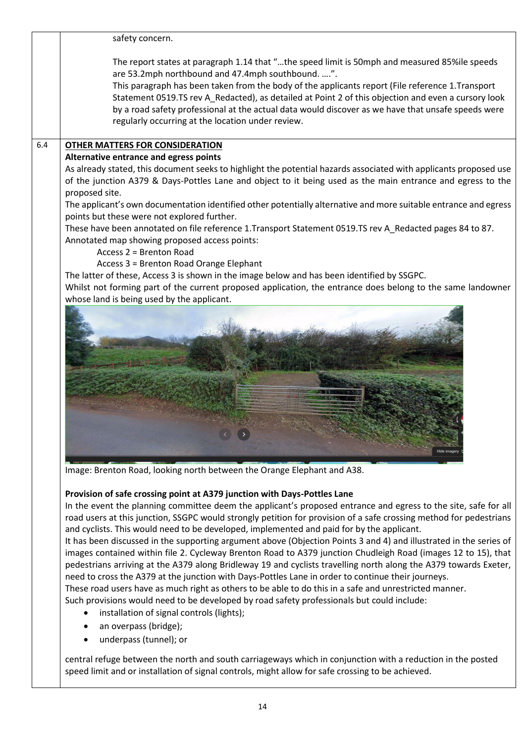| safety concern.                               |                                                                                                                                                                                                                                                                                                                                                                                                                                                                                                                          |
|-----------------------------------------------|--------------------------------------------------------------------------------------------------------------------------------------------------------------------------------------------------------------------------------------------------------------------------------------------------------------------------------------------------------------------------------------------------------------------------------------------------------------------------------------------------------------------------|
|                                               | The report states at paragraph 1.14 that "the speed limit is 50mph and measured 85%ile speeds<br>are 53.2mph northbound and 47.4mph southbound. ".<br>This paragraph has been taken from the body of the applicants report (File reference 1.Transport<br>Statement 0519.TS rev A_Redacted), as detailed at Point 2 of this objection and even a cursory look<br>by a road safety professional at the actual data would discover as we have that unsafe speeds were<br>regularly occurring at the location under review. |
| <b>OTHER MATTERS FOR CONSIDERATION</b>        |                                                                                                                                                                                                                                                                                                                                                                                                                                                                                                                          |
| Alternative entrance and egress points        |                                                                                                                                                                                                                                                                                                                                                                                                                                                                                                                          |
| proposed site.                                | As already stated, this document seeks to highlight the potential hazards associated with applicants proposed use<br>of the junction A379 & Days-Pottles Lane and object to it being used as the main entrance and egress to the                                                                                                                                                                                                                                                                                         |
|                                               | The applicant's own documentation identified other potentially alternative and more suitable entrance and egress                                                                                                                                                                                                                                                                                                                                                                                                         |
| points but these were not explored further.   |                                                                                                                                                                                                                                                                                                                                                                                                                                                                                                                          |
|                                               | These have been annotated on file reference 1. Transport Statement 0519. TS rev A_Redacted pages 84 to 87.                                                                                                                                                                                                                                                                                                                                                                                                               |
| Annotated map showing proposed access points: |                                                                                                                                                                                                                                                                                                                                                                                                                                                                                                                          |
| Access 2 = Brenton Road                       |                                                                                                                                                                                                                                                                                                                                                                                                                                                                                                                          |
|                                               | Access 3 = Brenton Road Orange Elephant                                                                                                                                                                                                                                                                                                                                                                                                                                                                                  |
|                                               | The latter of these, Access 3 is shown in the image below and has been identified by SSGPC.<br>Whilst not forming part of the current proposed application, the entrance does belong to the same landowner                                                                                                                                                                                                                                                                                                               |
| whose land is being used by the applicant.    |                                                                                                                                                                                                                                                                                                                                                                                                                                                                                                                          |
|                                               |                                                                                                                                                                                                                                                                                                                                                                                                                                                                                                                          |
|                                               | Image: Brenton Road, looking north between the Orange Elephant and A38.                                                                                                                                                                                                                                                                                                                                                                                                                                                  |
|                                               |                                                                                                                                                                                                                                                                                                                                                                                                                                                                                                                          |
|                                               | Provision of safe crossing point at A379 junction with Days-Pottles Lane                                                                                                                                                                                                                                                                                                                                                                                                                                                 |

# **Provision of safe crossing point at A379 junction with Days-Pottles Lane**

In the event the planning committee deem the applicant's proposed entrance and egress to the site, safe for all road users at this junction, SSGPC would strongly petition for provision of a safe crossing method for pedestrians and cyclists. This would need to be developed, implemented and paid for by the applicant.

It has been discussed in the supporting argument above (Objection Points 3 and 4) and illustrated in the series of images contained within file 2. Cycleway Brenton Road to A379 junction Chudleigh Road (images 12 to 15), that pedestrians arriving at the A379 along Bridleway 19 and cyclists travelling north along the A379 towards Exeter, need to cross the A379 at the junction with Days-Pottles Lane in order to continue their journeys. These road users have as much right as others to be able to do this in a safe and unrestricted manner.

Such provisions would need to be developed by road safety professionals but could include:

- installation of signal controls (lights);
- an overpass (bridge);
- underpass (tunnel); or

central refuge between the north and south carriageways which in conjunction with a reduction in the posted speed limit and or installation of signal controls, might allow for safe crossing to be achieved.